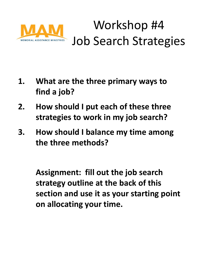

### Workshop #4 Job Search Strategies

- **1. What are the three primary ways to find a job?**
- **2. How should I put each of these three strategies to work in my job search?**
- **3. How should I balance my time among the three methods?**

**Assignment: fill out the job search strategy outline at the back of this section and use it as your starting point on allocating your time.**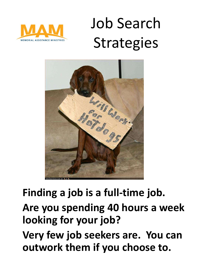

## Job Search **Strategies**



#### **Finding a job is a full-time job.**

#### **Are you spending 40 hours a week looking for your job?**

**Very few job seekers are. You can outwork them if you choose to.**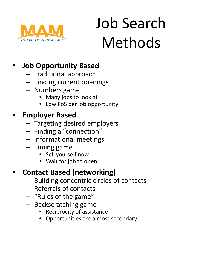

# Job Search Methods

#### • **Job Opportunity Based**

- Traditional approach
- Finding current openings
- Numbers game
	- Many jobs to look at
	- Low PoS per job opportunity

#### • **Employer Based**

- Targeting desired employers
- Finding a "connection"
- Informational meetings
- Timing game
	- Sell yourself now
	- Wait for job to open

#### • **Contact Based (networking)**

- Building concentric circles of contacts
- Referrals of contacts
- "Rules of the game"
- Backscratching game
	- Reciprocity of assistance
	- Opportunities are almost secondary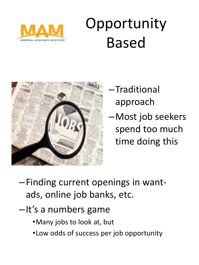

## **Opportunity** Based



- –Traditional approach
- –Most job seekers spend too much time doing this

- –Finding current openings in wantads, online job banks, etc.
- –It's a numbers game
	- •Many jobs to look at, but
	- •Low odds of success per job opportunity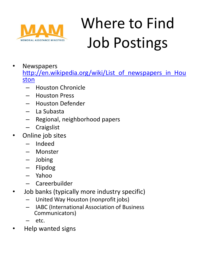

# Where to Find Job Postings

- **Newspapers** [http://en.wikipedia.org/wiki/List\\_of\\_newspapers\\_in\\_Hou](http://en.wikipedia.org/wiki/List_of_newspapers_in_Houston) [ston](http://en.wikipedia.org/wiki/List_of_newspapers_in_Houston)
	- Houston Chronicle
	- Houston Press
	- Houston Defender
	- La Subasta
	- Regional, neighborhood papers
	- **Craigslist**
- Online job sites
	- Indeed
	- Monster
	- Jobing
	- Flipdog
	- Yahoo
	- Careerbuilder
- Job banks (typically more industry specific)
	- United Way Houston (nonprofit jobs)
	- IABC (International Association of Business Communicators)
	- $etc.$
- Help wanted signs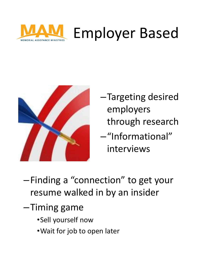



- –Targeting desired employers through research
- –"Informational" interviews
- –Finding a "connection" to get your resume walked in by an insider
- –Timing game
	- •Sell yourself now
	- •Wait for job to open later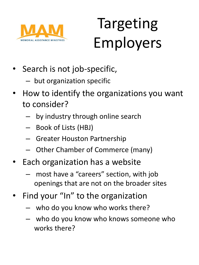

## Targeting Employers

- Search is not job-specific,
	- but organization specific
- How to identify the organizations you want to consider?
	- by industry through online search
	- Book of Lists (HBJ)
	- Greater Houston Partnership
	- Other Chamber of Commerce (many)
- Each organization has a website
	- most have a "careers" section, with job openings that are not on the broader sites
- Find your "In" to the organization
	- who do you know who works there?
	- who do you know who knows someone who works there?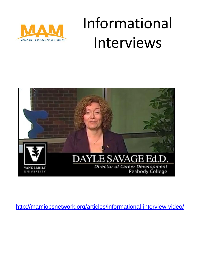

### Informational Interviews



[http://mamjobsnetwork.org/articles/informational-interview-video](http://mamjobsnetwork.org/articles/informational-interview-video/)[/](http://mamjobsnetwork.org/articles/informational-interview-video/)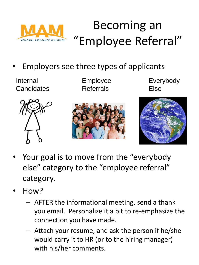

#### Becoming an "Employee Referral"

• Employers see three types of applicants

Internal Employee Everybody

Candidates Referrals Else





- Your goal is to move from the "everybody else" category to the "employee referral" category.
- How?
	- AFTER the informational meeting, send a thank you email. Personalize it a bit to re-emphasize the connection you have made.
	- Attach your resume, and ask the person if he/she would carry it to HR (or to the hiring manager) with his/her comments.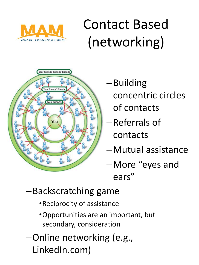

### Contact Based (networking)



- –Building concentric circles of contacts
- –Referrals of contacts
- –Mutual assistance
- –More "eyes and ears"
- –Backscratching game
	- •Reciprocity of assistance
	- •Opportunities are an important, but secondary, consideration
- –Online networking (e.g., LinkedIn.com)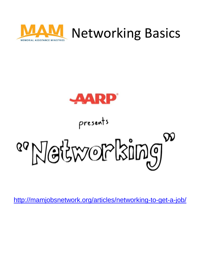



presents

<sup>89</sup>Networking

<http://mamjobsnetwork.org/articles/networking-to-get-a-job/>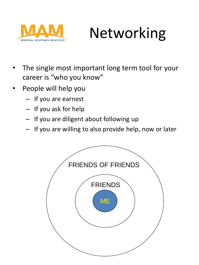

### Networking

- The single most important long term tool for your career is "who you know"
- People will help you
	- If you are earnest
	- If you ask for help
	- If you are diligent about following up
	- If you are willing to also provide help, now or later

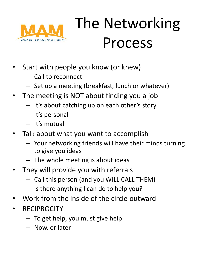

## The Networking Process

- Start with people you know (or knew)
	- Call to reconnect
	- Set up a meeting (breakfast, lunch or whatever)
- The meeting is NOT about finding you a job
	- It's about catching up on each other's story
	- It's personal
	- It's mutual
- Talk about what you want to accomplish
	- Your networking friends will have their minds turning to give you ideas
	- The whole meeting is about ideas
- They will provide you with referrals
	- Call this person (and you WILL CALL THEM)
	- Is there anything I can do to help you?
- Work from the inside of the circle outward
- **RECIPROCITY** 
	- To get help, you must give help
	- Now, or later